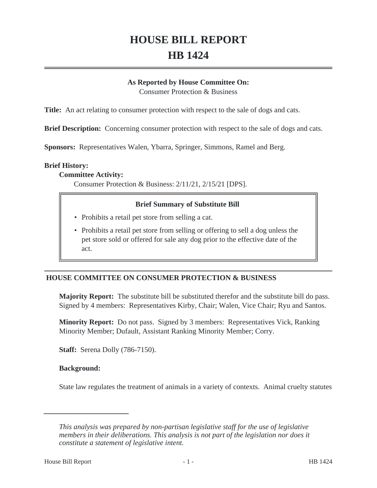# **HOUSE BILL REPORT HB 1424**

#### **As Reported by House Committee On:**

Consumer Protection & Business

**Title:** An act relating to consumer protection with respect to the sale of dogs and cats.

**Brief Description:** Concerning consumer protection with respect to the sale of dogs and cats.

**Sponsors:** Representatives Walen, Ybarra, Springer, Simmons, Ramel and Berg.

#### **Brief History:**

#### **Committee Activity:**

Consumer Protection & Business: 2/11/21, 2/15/21 [DPS].

#### **Brief Summary of Substitute Bill**

- Prohibits a retail pet store from selling a cat.
- Prohibits a retail pet store from selling or offering to sell a dog unless the pet store sold or offered for sale any dog prior to the effective date of the act.

# **HOUSE COMMITTEE ON CONSUMER PROTECTION & BUSINESS**

**Majority Report:** The substitute bill be substituted therefor and the substitute bill do pass. Signed by 4 members: Representatives Kirby, Chair; Walen, Vice Chair; Ryu and Santos.

**Minority Report:** Do not pass. Signed by 3 members: Representatives Vick, Ranking Minority Member; Dufault, Assistant Ranking Minority Member; Corry.

**Staff:** Serena Dolly (786-7150).

#### **Background:**

State law regulates the treatment of animals in a variety of contexts. Animal cruelty statutes

*This analysis was prepared by non-partisan legislative staff for the use of legislative members in their deliberations. This analysis is not part of the legislation nor does it constitute a statement of legislative intent.*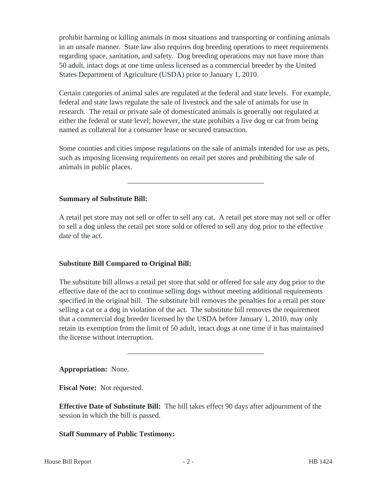prohibit harming or killing animals in most situations and transporting or confining animals in an unsafe manner. State law also requires dog breeding operations to meet requirements regarding space, sanitation, and safety. Dog breeding operations may not have more than 50 adult, intact dogs at one time unless licensed as a commercial breeder by the United States Department of Agriculture (USDA) prior to January 1, 2010.

Certain categories of animal sales are regulated at the federal and state levels. For example, federal and state laws regulate the sale of livestock and the sale of animals for use in research. The retail or private sale of domesticated animals is generally not regulated at either the federal or state level; however, the state prohibits a live dog or cat from being named as collateral for a consumer lease or secured transaction.

Some counties and cities impose regulations on the sale of animals intended for use as pets, such as imposing licensing requirements on retail pet stores and prohibiting the sale of animals in public places.

## **Summary of Substitute Bill:**

A retail pet store may not sell or offer to sell any cat. A retail pet store may not sell or offer to sell a dog unless the retail pet store sold or offered to sell any dog prior to the effective date of the act.

## **Substitute Bill Compared to Original Bill:**

The substitute bill allows a retail pet store that sold or offered for sale any dog prior to the effective date of the act to continue selling dogs without meeting additional requirements specified in the original bill. The substitute bill removes the penalties for a retail pet store selling a cat or a dog in violation of the act. The substitute bill removes the requirement that a commercial dog breeder licensed by the USDA before January 1, 2010, may only retain its exemption from the limit of 50 adult, intact dogs at one time if it has maintained the license without interruption.

## **Appropriation:** None.

**Fiscal Note:** Not requested.

**Effective Date of Substitute Bill:** The bill takes effect 90 days after adjournment of the session in which the bill is passed.

# **Staff Summary of Public Testimony:**